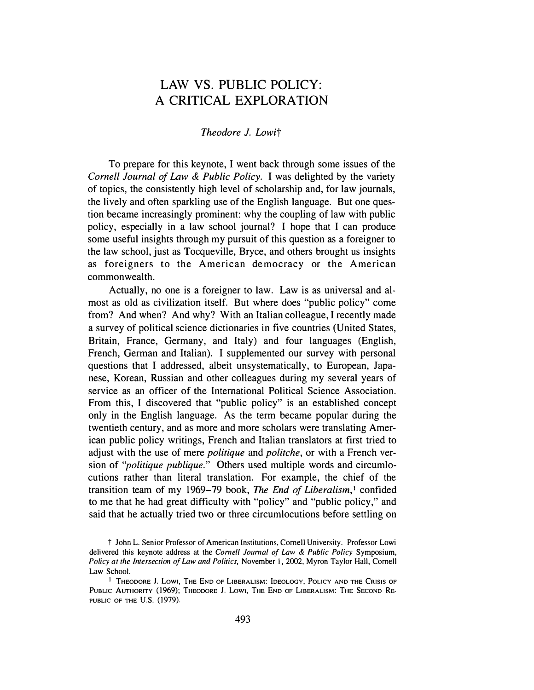## LAW VS. PUBLIC POLICY: A CRITICAL EXPLORATION

## *Theodore J. Lowit*

To prepare for this keynote, I went back through some issues of the *Cornell Journal of Law & Public Policy.* I was delighted by the variety of topics, the consistently high level of scholarship and, for law journals, the lively and often sparkling use of the English language. But one question became increasingly prominent: why the coupling of law with public policy, especially in a law school journal? I hope that I can produce some useful insights through my pursuit of this question as a foreigner to the law school, just as Tocqueville, Bryce, and others brought us insights as foreigners to the American democracy or the American commonwealth.

Actually, no one is a foreigner to law. Law is as universal and almost as old as civilization itself. But where does "public policy" come from? And when? And why? With an Italian colleague, I recently made a survey of political science dictionaries in five countries (United States, Britain, France, Germany, and Italy) and four languages (English, French, German and Italian). I supplemented our survey with personal questions that I addressed, albeit unsystematically, to European, Japanese, Korean, Russian and other colleagues during my several years of service as an officer of the International Political Science Association. From this, I discovered that "public policy" is an established concept only in the English language. As the term became popular during the twentieth century, and as more and more scholars were translating American public policy writings, French and Italian translators at first tried to adjust with the use of mere *politique* and *politche,* or with a French version of *"politique publique."* Others used multiple words and circumlocutions rather than literal translation. For example, the chief of the transition team of my 1969-79 book, *The End of Liberalism,* 1 confided to me that he had great difficulty with "policy" and "public policy," and said that he actually tried two or three circumlocutions before settling on

t John L. Senior Professor of American Institutions, Cornell University. Professor Lowi delivered this keynote address at the *Cornell Journal of Law & Public Policy* Symposium, *Policy at the Intersection of Law and Politics,* November I, 2002, Myron Taylor Hall, Cornell Law School.

**I THEODORE** J. **Low1, THE END OF LIBERALISM: IDEOLOGY, POLICY AND THE CRISIS OF PUBLIC AUTHORITY** (1969); **THEODORE** J. **Low1, THE END OF LIBERALISM: THE SECOND RE-PUBLIC OF THE U.S.** (1979).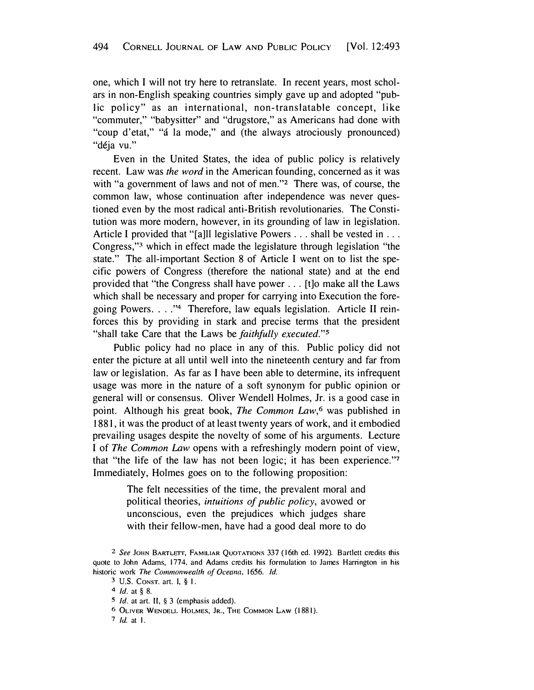one, which I will not try here to retranslate. In recent years, most scholars in non-English speaking countries simply gave up and adopted "public policy" as an international, non-translatable concept, like "commuter," "babysitter" and "drugstore," as Americans had done with "coup d'etat," "á la mode," and (the always atrociously pronounced) "déja vu."

Even in the United States, the idea of public policy is relatively recent. Law was *the word* in the American founding, concerned as it was with "a government of laws and not of men."**2** There was, of course, the common law, whose continuation after independence was never questioned even by the most radical anti-British revolutionaries. The Constitution was more modern, however, in its grounding of law in legislation. Article I provided that "[a]ll legislative Powers . . . shall be vested in . . . Congress,"**<sup>3</sup>**which in effect made the legislature through legislation "the state." The. all-important Section 8 of Article I went on to list the specific powers of Congress (therefore the national state) and at the end provided that "the Congress shall have power ... [t]o make all the Laws which shall be necessary and proper for carrying into Execution the foregoing Powers. . . ."<sup>4</sup> Therefore, law equals legislation. Article II reinforces this by providing in stark and precise terms that the president "shall take Care that the Laws be *faithfully executed."<sup>5</sup>*

Public policy had no place in any of this. Public policy did not enter the picture at all until well into the nineteenth century and far from law or legislation. As far as I have been able to determine, its infrequent usage was more in the nature of a soft synonym for public opinion or general will or consensus. Oliver Wendell Holmes, Jr. is a good case in point. Although his great book, *The Common Law,6* was published in 1881, it was the product of at least twenty years of work, and it embodied prevailing usages despite the novelty of some of his arguments. Lecture I of *The Common Law* opens with a refreshingly modern point of view, that "the life of the law has not been logic; it has been experience."**<sup>7</sup>** Immediately, Holmes goes on to the following proposition:

> The felt necessities of the time, the prevalent moral and political theories, *intuitions of public policy,* avowed or unconscious, even the prejudices which judges share with their fellow-men, have had a good deal more to do

7 *Id.* at I.

<sup>&</sup>lt;sup>2</sup> See JOHN BARTLETT, FAMILIAR QUOTATIONS 337 (16th ed. 1992). Bartlett credits this quote to John Adams, 1774, and Adams credits his formulation to James Harrington in his historic work *The Commonwealth of Oceana,* 1656. *Id.* 

<sup>3</sup> U.S. CoNsT. art. I, § I.

**<sup>4</sup>***Id.* at § 8.

<sup>5</sup> *Id.* at art. 11, § 3 (emphasis added).

**<sup>6</sup>** OLIVER WENDELL HOLMES, JR., THE COMMON LAW (1881).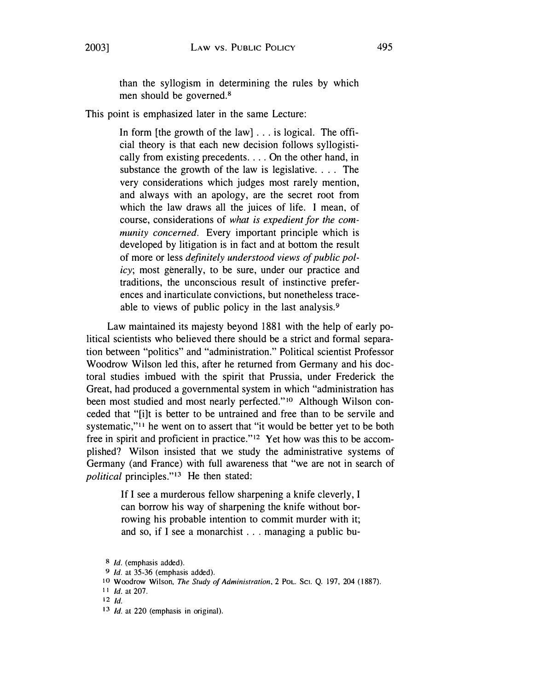than the syllogism in determining the rules by which men should be governed. <sup>8</sup>

This point is emphasized later in the same Lecture:

In form [the growth of the law]  $\ldots$  is logical. The official theory is that each new decision follows syllogistically from existing precedents .... On the other hand, in substance the growth of the law is legislative. . . . The very considerations which judges most rarely mention, and always with an apology, are the secret root from which the law draws all the juices of life. I mean, of course, considerations of *what is expedient for the community concerned.* Every important principle which is developed by litigation is in fact and at bottom the result of more or less *definitely understood views of public policy;* most generally, to be sure, under our practice and traditions, the unconscious result of instinctive preferences and inarticulate convictions, but nonetheless traceable to views of public policy in the last analysis.<sup>9</sup>

Law maintained its majesty beyond 1881 with the help of early political scientists who believed there should be a strict and formal separation between "politics " and "administration." Political scientist Professor Woodrow Wilson led this, after he returned from Germany and his doctoral studies imbued with the spirit that Prussia, under Frederick the Great, had produced a governmental system in which "administration has been most studied and most nearly perfected."<sup>10</sup> Although Wilson conceded that "[i]t is better to be untrained and free than to be servile and systematic,"<sup>11</sup> he went on to assert that "it would be better yet to be both free in spirit and proficient in practice."<sup>12</sup> Yet how was this to be accomplished? Wilson insisted that we study the administrative systems of Germany (and France) with full awareness that "we are not in search of *political* principles."13 He then stated:

> If I see a murderous fellow sharpening a knife cleverly, I can borrow his way of sharpening the knife without borrowing his probable intention to commit murder with it; and so, if I see a monarchist ... managing a public bu-

<sup>8</sup>*Id.* (emphasis added).

<sup>9</sup>*Id.* at 35-36 (emphasis added).

<sup>10</sup>Woodrow Wilson, *The Study of Administration,* 2 PoL. Sci. Q. 197, 204 (1887).

<sup>1 1</sup> *Id.* at 207.

<sup>12</sup>*Id.* 

<sup>13</sup> *Id.* at 220 (emphasis in original).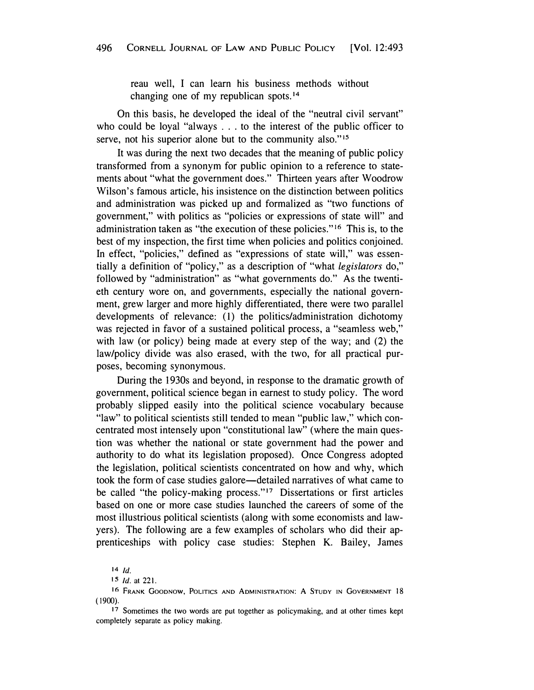reau well, I can learn his business methods without changing one of my republican [spots.](https://spots.14)14

On this basis, he developed the ideal of the "neutral civil servant" who could be loyal "always .. . to the interest of the public officer to serve, not his superior alone but to the community also."<sup>15</sup>

It was during the next two decades that the meaning of public policy transformed from a synonym for public opinion to a reference to statements about "what the government does." Thirteen years after Woodrow Wilson's famous article, his insistence on the distinction between politics and administration was picked up and formalized as "two functions of government," with politics as "policies or expressions of state will" and administration taken as "the execution of these policies." 16 This is, to the best of my inspection, the first time when policies and politics conjoined. In effect, "policies," defined as "expressions of state will," was essentially a definition of "policy," as a description of "what *legislators* do," followed by "administration" as "what governments do." As the twentieth century wore on, and governments, especially the national government, grew larger and more highly differentiated, there were two parallel developments of relevance: (1) the politics/administration dichotomy was rejected in favor of a sustained political process, a "seamless web," with law (or policy) being made at every step of the way; and (2) the law/policy divide was also erased, with the two, for all practical purposes, becoming synonymous.

During the 1930s and beyond, in response to the dramatic growth of government, political science began in earnest to study policy. The word probably slipped easily into the political science vocabulary because "law" to political scientists still tended to mean "public law," which concentrated most intensely upon "constitutional law" (where the main question was whether the national or state government had the power and authority to do what its legislation proposed). Once Congress adopted the legislation, political scientists concentrated on how and why, which took the form of case studies galore-detailed narratives of what came to be called "the policy-making process."17 Dissertations or first articles based on one or more case studies launched the careers of some of the most illustrious political scientists (along with some economists and lawyers). The following are a few examples of scholars who did their apprenticeships with policy case studies: Stephen K. Bailey, James

<sup>14</sup> *Id.* 

I 5 *Id.* at 221.

**<sup>16</sup> FRANK GOODNOW, POLITICS AND ADMINISTRATION: A STUDY IN GOVERNMENT 18** ( 1900).

<sup>17</sup> Sometimes the two words are put together as policymaking, and at other times kept completely separate as policy making.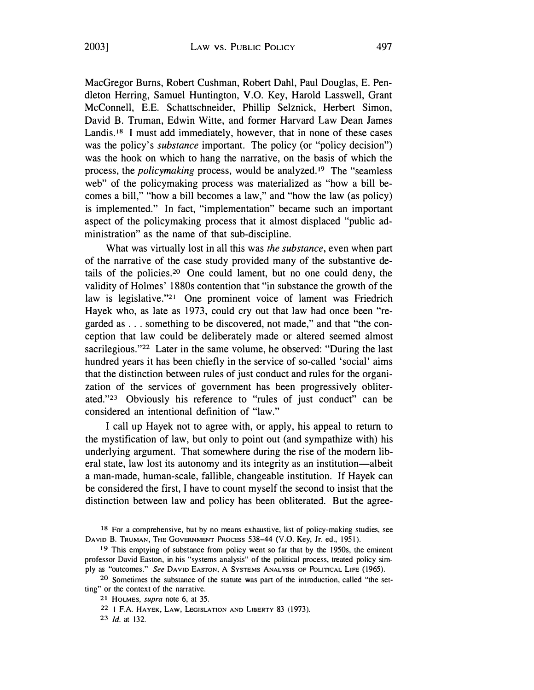MacGregor Burns, Robert Cushman, Robert Dahl, Paul Douglas, E. Pendleton Herring, Samuel Huntington, V.O. Key, Harold Lasswell, Grant McConnell, E.E. Schattschneider, Phillip Selznick, Herbert Simon, David B. Truman, Edwin Witte, and former Harvard Law Dean James Landis.<sup>18</sup> I must add immediately, however, that in none of these cases was the policy's *substance* important. The policy (or "policy decision") was the hook on which to hang the narrative, on the basis of which the process, the *policymaking* process, would be [analyzed.](https://analyzed.19)**19** The "seamless web" of the policymaking process was materialized as "how a bill becomes a bill," "how a bill becomes a law," and "how the law (as policy) is implemented." In fact, "implementation" became such an important aspect of the policymaking process that it almost displaced "public administration" as the name of that sub-discipline.

What was virtually lost in all this was *the substance,* even when part of the narrative of the case study provided many of the substantive details of the [policies.20](https://policies.20) One could lament, but no one could deny, the validity of Holmes' 1880s contention that "in substance the growth of the law is legislative."21 One prominent voice of lament was Friedrich Hayek who, as late as 1973, could cry out that law had once been "regarded as .. . something to be discovered, not made," and that "the conception that law could be deliberately made or altered seemed almost sacrilegious."22 Later in the same volume, he observed: "During the last hundred years it has been chiefly in the service of so-called 'social' aims that the distinction between rules of just conduct and rules for the organization of the services of government has been progressively obliterated."23 Obviously his reference to "rules of just conduct" can be considered an intentional definition of "law."

I call up Hayek not to agree with, or apply, his appeal to return to the mystification of law, but only to point out (and sympathize with) his underlying argument. That somewhere during the rise of the modern liberal state, law lost its autonomy and its integrity as an institution-albeit a man-made, human-scale, fallible, changeable institution. If Hayek can be considered the first, I have to count myself the second to insist that the distinction between law and policy has been obliterated. But the agree-

23 *Id.* at 132.

<sup>18</sup> For a comprehensive, but by no means exhaustive, list of policy-making studies, see DAVID B. TRUMAN, THE GOVERNMENT PROCESS 538-44 (V.O. Key, Jr. ed., 1951).

**<sup>19</sup>** This emptying of substance from policy went so far that by the 195Os, the eminent professor David Easton, in his "systems analysis" of the political process, treated policy simply as "outcomes." *See* DAVID EASTON, A SYSTEMS ANALYSIS OF POLITICAL LIFE (1965).

<sup>20</sup> Sometimes the substance of the statute was part of the introduction, called "the setting" or the context of the narrative.

<sup>21</sup> HoLMES, *supra* note 6, at 35.

<sup>22</sup> **I** F.A. HAYEK, LAW, LEGISLATION AND LIBERTY 83 (1973).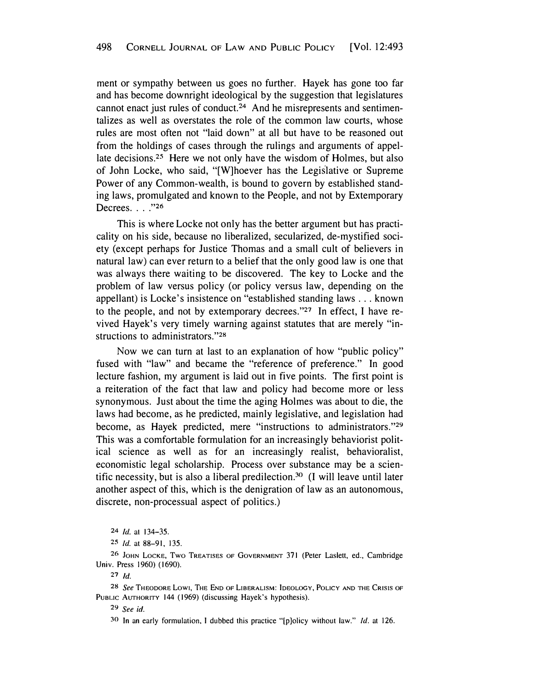ment or sympathy between us goes no further. Hayek has gone too far and has become downright ideological by the suggestion that legislatures cannot enact just rules of conduct. 24 And he misrepresents and sentimentalizes as well as overstates the role of the common law courts, whose rules are most often not "laid down " at all but have to be reasoned out from the holdings of cases through the rulings and arguments of appellate [decisions.](https://decisions.25)**25** Here we not only have the wisdom of Holmes, but also of John Locke, who said, "[W]hoever has the Legislative or Supreme Power of any Common-wealth, is bound to govern by established standing laws, promulgated and known to the People, and not by Extemporary Decrees.  $. . . . . . . .$ 

This is where Locke not only has the better argument but has practicality on his side, because no liberalized, secularized, de-mystified society (except perhaps for Justice Thomas and a small cult of believers in natural law) can ever return to a belief that the only good law is one that was always there waiting to be discovered. The key to Locke and the problem of law versus policy ( or policy versus law, depending on the appellant) is Locke's insistence on "established standing laws ... known to the people, and not by extemporary decrees."**27** In effect, I have revived Hayek's very timely warning against statutes that are merely "instructions to administrators."**<sup>28</sup>**

Now we can turn at last to an explanation of how "public policy " fused with "law" and became the "reference of preference." In good lecture fashion, my argument is laid out in five points. The first point is a reiteration of the fact that law and policy had become more or less synonymous. Just about the time the aging Holmes was about to die, the laws had become, as he predicted, mainly legislative, and legislation had become, as Hayek predicted, mere "instructions to administrators."**<sup>29</sup>** This was a comfortable formulation for an increasingly behaviorist political science as well as for an increasingly realist, behavioralist, economistic legal scholarship. Process over substance may be a scientific necessity, but is also a liberal predilection.<sup>30</sup> (I will leave until later another aspect of this, which is the denigration of law as an autonomous, discrete, non-processual aspect of politics.)

26 JOHN LOCKE, TWO TREATISES OF GOVERNMENT 371 (Peter Laslett, ed., Cambridge Univ. Press 1960) (1690).

**27 Id.** 

28 *See* THEODORE Low1, THE END OF LIBERALISM: IDEOLOGY, POLICY AND THE CRISIS OF PUBLIC AUTHORITY 144 (1969) (discussing Hayek's hypothesis).

**<sup>29</sup>***See id.* 

<sup>30</sup>In an early formulation, I dubbed this practice "[p]olicy without law." *Id.* at 126.

<sup>24</sup>*Id.* at 134-35.

**<sup>25</sup>***Id.* at 88-91, 135.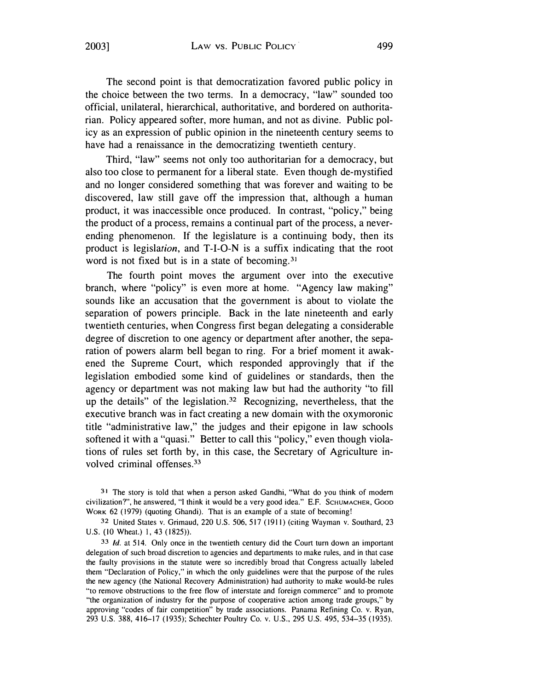The second point is that democratization favored public policy in the choice between the two terms. In a democracy, "law" sounded too official, unilateral, hierarchical, authoritative, and bordered on authoritarian. Policy appeared softer, more human, and not as divine. Public policy as an expression of public opinion in the nineteenth century seems to have had a renaissance in the democratizing twentieth century.

Third, "law" seems not only too authoritarian for a democracy, but also too close to permanent for a liberal state. Even though de-mystified and no longer considered something that was forever and waiting to be discovered, law still gave off the impression that, although a human product, it was inaccessible once produced. In contrast, "policy," being the product of a process, remains a continual part of the process, a neverending phenomenon. If the legislature is a continuing body, then its product is legislation, and T-1-0-N is a suffix indicating that the root word is not fixed but is in a state of [becoming.](https://becoming.31)<sup>31</sup>

The fourth point moves the argument over into the executive branch, where "policy" is even more at home. "Agency law making" sounds like an accusation that the government is about to violate the separation of powers principle. Back in the late nineteenth and early twentieth centuries, when Congress first began delegating a considerable degree of discretion to one agency or department after another, the separation of powers alarm bell began to ring. For a brief moment it awakened the Supreme Court, which responded approvingly that if the legislation embodied some kind of guidelines or standards, then the agency or department was not making law but had the authority "to fill up the details" of the legislation. **32** Recognizing, nevertheless, that the executive branch was in fact creating a new domain with the oxymoronic title "administrative law," the judges and their epigone in law schools softened it with a "quasi." Better to call this "policy," even though violations of rules set forth by, in this case, the Secretary of Agriculture involved criminal [offenses.](https://offenses.33)<sup>33</sup>

<sup>31</sup> The story is told that when a person asked Gandhi, "What do you think of modern civilization?", he answered, "I think it would be a very good idea." E.F. SCHUMACHER, Gooo WoRK 62 (1979) (quoting Ghandi). That is an example of a state of becoming!

**32** United States v. Grimaud, 220 U.S. 506,517 (1911) (citing Wayman v. Southard, 23 U.S. (10 Wheat.) I, 43 (1825)).

**33** *Id.* at 514. Only once in the twentieth century did the Court turn down an important delegation of such broad discretion to agencies and departments to make rules, and in that case the faulty provisions in the statute were so incredibly broad that Congress actually labeled them "Declaration of Policy," in which the only guidelines were that the purpose of the rules the new agency (the National Recovery Administration) had authority to make would-be rules "to remove obstructions to the free flow of interstate and foreign commerce" and to promote "the organization of industry for the purpose of cooperative action among trade groups," by approving "codes of fair competition" by trade associations. Panama Refining Co. v. Ryan, 293 U.S. 388, 416-17 (1935); Schechter Poultry Co. v. U.S., 295 U.S. 495, 534-35 (1935).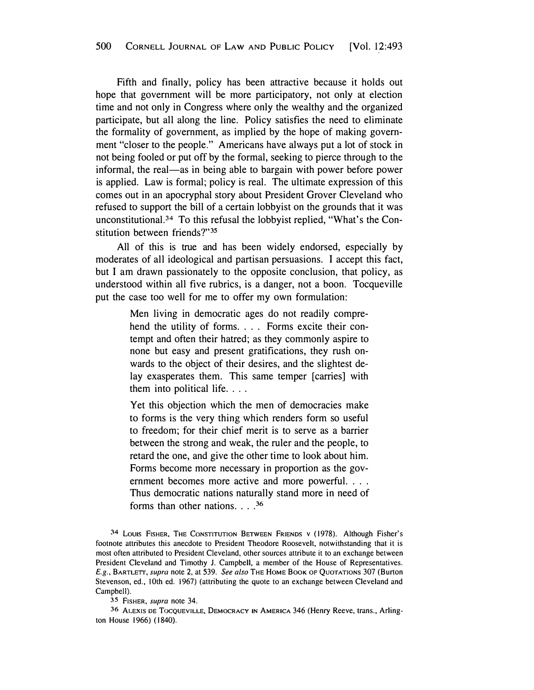Fifth and finally, policy has been attractive because it holds out hope that government will be more participatory, not only at election time and not only in Congress where only the wealthy and the organized participate, but all along the line. Policy satisfies the need to eliminate the formality of government, as implied by the hope of making government "closer to the people." Americans have always put a lot of stock in not being fooled or put off by the formal, seeking to pierce through to the informal, the real—as in being able to bargain with power before power is applied. Law is formal; policy is real. The ultimate expression of this comes out in an apocryphal story about President Grover Cleveland who refused to support the bill of a certain lobbyist on the grounds that it was [unconstitutional.3](https://unconstitutional.34)**4** To this refusal the lobbyist replied, "What's the Constitution between friends?"**<sup>35</sup>**

All of this is true and has been widely endorsed, especially by moderates of all ideological and partisan persuasions. I accept this fact, but I am drawn passionately to the opposite conclusion, that policy, as understood within all five rubrics, is a danger, not a boon. Tocqueville put the case too well for me to offer my own formulation:

> Men living in democratic ages do not readily comprehend the utility of forms. . . . Forms excite their contempt and often their hatred; as they commonly aspire to none but easy and present gratifications, they rush onwards to the object of their desires, and the slightest delay exasperates them. This same temper [carries] with them into political life....

> Yet this objection which the men of democracies make to forms is the very thing which renders form so useful to freedom; for their chief merit is to serve as a barrier between the strong and weak, the ruler and the people, to retard the one, and give the other time to look about him. Forms become more necessary in proportion as the government becomes more active and more powerful. . . . Thus democratic nations naturally stand more in need of forms than other nations .... **<sup>36</sup>**

34 LOUIS FISHER, THE CoNSTITUTION BETWEEN FRIENDS v (1978). Although Fisher's footnote attributes this anecdote to President Theodore Roosevelt, notwithstanding that it is most often attributed to President Cleveland, other sources attribute it to an exchange between President Cleveland and Timothy J. Campbell, a member of the House of Representatives. *E.g.,* BARTLETT, *supra* note 2, at 539. *See also* THE HOME BOOK OF QUOTATIONS 307 (Burton Stevenson, ed., 10th ed. 1967) (attributing the quote to an exchange between Cleveland and Campbell).

**35** FISHER, *supra* note 34.

**<sup>36</sup>**ALEXIS DE TocQUEVILLE, DEMOCRACY IN AMERICA 346 (Henry Reeve, trans., Arlington House 1966) (1840).